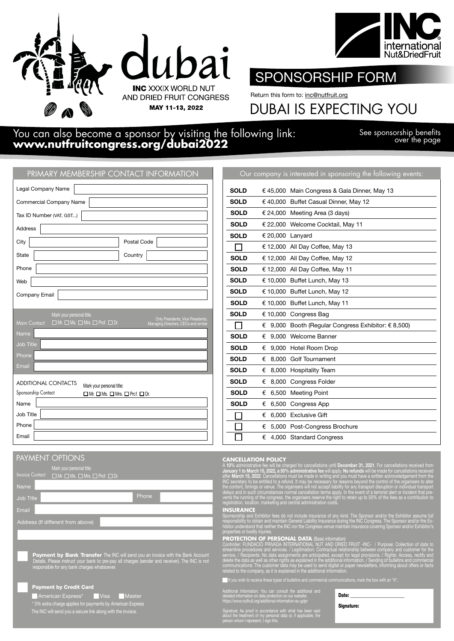



## SPONSORSHIP FORM

Return this form to: inc@nutfruit.org

## DUBAI IS EXPECTING YOU

# over the page You can also become a sponsor by visiting the following link: **www.nutfruitcongress.org/dubai2022**

See sponsorship benefits<br>over the page

| PRIMARY MEMBERSHIP CONTACT INFORMATION                                                                                  | Our company is interested in sponsoring the following events: |
|-------------------------------------------------------------------------------------------------------------------------|---------------------------------------------------------------|
| Legal Company Name                                                                                                      | <b>SOLD</b><br>€ 45,000 Main Congress & Gala Dinner, May 13   |
| <b>Commercial Company Name</b>                                                                                          | <b>SOLD</b><br>€ 40,000 Buffet Casual Dinner, May 12          |
| Tax ID Number (VAT, GST)                                                                                                | <b>SOLD</b><br>€ 24,000 Meeting Area (3 days)                 |
| Address                                                                                                                 | <b>SOLD</b><br>€ 22,000 Welcome Cocktail, May 11              |
| Postal Code<br>City                                                                                                     | € 20,000 Lanyard<br><b>SOLD</b>                               |
|                                                                                                                         | € 12,000 All Day Coffee, May 13                               |
| Country<br>State                                                                                                        | <b>SOLD</b><br>€ 12,000 All Day Coffee, May 12                |
| Phone                                                                                                                   | <b>SOLD</b><br>€ 12,000 All Day Coffee, May 11                |
| Web                                                                                                                     | <b>SOLD</b><br>€ 10,000 Buffet Lunch, May 13                  |
| Company Email                                                                                                           | <b>SOLD</b><br>€ 10,000 Buffet Lunch, May 12                  |
|                                                                                                                         | <b>SOLD</b><br>€ 10,000 Buffet Lunch, May 11                  |
| Mark your personal title:<br>Only Presidents, Vice Presidents,                                                          | <b>SOLD</b><br>€ 10,000 Congress Bag                          |
| $\Box$ Mr. $\Box$ Ms. $\Box$ Mrs. $\Box$ Prof. $\Box$ Dr.<br><b>Main Contact</b><br>Managing Directors, CEOs and simila | € 9,000 Booth (Regular Congress Exhibitor: €8,500)            |
| Name                                                                                                                    | <b>SOLD</b><br>€ 9.000 Welcome Banner                         |
| <b>Job Title</b>                                                                                                        | <b>SOLD</b><br>€ 9,000 Hotel Room Drop                        |
| Phone                                                                                                                   | € 8.000 Golf Tournament<br><b>SOLD</b>                        |
| Email                                                                                                                   | <b>SOLD</b><br>€ 8,000 Hospitality Team                       |
| ADDITIONAL CONTACTS<br>Mark your personal title:                                                                        | <b>SOLD</b><br>€ 8,000 Congress Folder                        |
| Sponsorship Contact<br>$\Box$ Mr. $\Box$ Ms. $\Box$ Mrs. $\Box$ Prcf. $\Box$ Dr.                                        | <b>SOLD</b><br>€ 6,500 Meeting Point                          |
| Name                                                                                                                    | <b>SOLD</b><br>$6,500$ Congress App                           |
| Job Title                                                                                                               | 6,000 Exclusive Gift<br>€                                     |
| Phone                                                                                                                   | € 5,000 Post-Congress Brochure                                |
| Email                                                                                                                   | $\epsilon$ 4,000 Standard Congress                            |

|             |            | is impressed in opensoring monomening        |
|-------------|------------|----------------------------------------------|
| <b>SOLD</b> |            | € 45,000 Main Congress & Gala Dinner, May 13 |
| <b>SOLD</b> |            | € 40,000 Buffet Casual Dinner, May 12        |
| <b>SOLD</b> | € 24.000   | Meeting Area (3 days)                        |
| <b>SOLD</b> |            | € 22,000 Welcome Cocktail, May 11            |
| <b>SOLD</b> | € 20,000   | Lanyard                                      |
|             |            | € 12,000 All Day Coffee, May 13              |
| <b>SOLD</b> |            | € 12,000 All Day Coffee, May 12              |
| <b>SOLD</b> |            | € 12,000 All Day Coffee, May 11              |
| <b>SOLD</b> |            | € 10,000 Buffet Lunch, May 13                |
| <b>SOLD</b> |            | € 10,000 Buffet Lunch, May 12                |
| <b>SOLD</b> |            | € 10,000 Buffet Lunch, May 11                |
| <b>SOLD</b> |            | € 10,000 Congress Bag                        |
|             | 9.000<br>€ | Booth (Regular Congress Exhibitor: € 8,500)  |
| <b>SOLD</b> | €<br>9,000 | <b>Welcome Banner</b>                        |
| <b>SOLD</b> | €          | 9,000 Hotel Room Drop                        |
| <b>SOLD</b> | €          | 8.000 Golf Tournament                        |
| <b>SOLD</b> | €          | 8,000 Hospitality Team                       |
| <b>SOLD</b> | €          | 8,000 Congress Folder                        |
| <b>SOLD</b> | 6,500<br>€ | <b>Meeting Point</b>                         |
| <b>SOLD</b> | 6.500<br>€ | Congress App                                 |
|             | €          | 6,000 Exclusive Gift                         |
|             | €          | 5,000 Post-Congress Brochure                 |
|             | €          | 4,000 Standard Congress                      |

## PAYMENT OPTIONS

ı

| <b>Invoice Contact</b> | Mark your personal title:<br>$\Box$ Mr. $\Box$ Ms. $\Box$ Mrs. $\Box$ Prof. $\Box$ Dr. |       |  |
|------------------------|----------------------------------------------------------------------------------------|-------|--|
| Name                   |                                                                                        |       |  |
| Job Title              |                                                                                        | Phone |  |
| Email                  |                                                                                        |       |  |
|                        | Address (If different from above)                                                      |       |  |
|                        |                                                                                        |       |  |

**Payment by Bank Transfer** The INC will send you an invoice with the Bank Account **Details.** Please instruct your bank to pre-pay all charges (sender and receiver). The INC is not **responsible for any bank charges whatsoever.** 

#### Payment by Credit Card

**American Express\* Visa Master** Muster \* 3% extra charge applies for payments by American Express The INC will send you a secure link along with the invoice.

**CANCELLATION POLICY**<br>A now administrative fee will be charged for cancellations until December 31, 2021. For cancellations received from<br>A now administrative fee will apply. No refunds will be made for cancellations recei

#### **INSURANCE**

Sponsorship and Exhibitor fees do not include insurance of any kind. The Sponsor and/or the Exhibitor assume full<br>responsibility to obtain and maintain General Liability Insurance during the INC Congress. The Sponsor and/o properties or bodily injuries.

**PROTECTION OF PERSONAL DATA** (Basic information)<br>Controller: FUNDACIÓ PRIVADA INTERNATIONAL NUT AND DRIED FRUIT -INC- / Purpose: Collection of data to<br>streamline procedures and services. / Legitimation: Contractual relati

If you wish to receive these types of bulletins and commercial communications, mark the box with an "X".

dditional Information: You can consult the additional and<br>stailed information on data protection on our website:<br>tps://www.nutfruit.org/additional-information-eu-ador detailed information on data protection on our website: https://www.nutfruit.org/additional-information-eu-gdpr

Signature: As proof in accordance with what has been said about the treatment of my personal data or, if applicable, the person whom I represent, I sign this.

| Date:      |  |  |
|------------|--|--|
| Signature: |  |  |
|            |  |  |